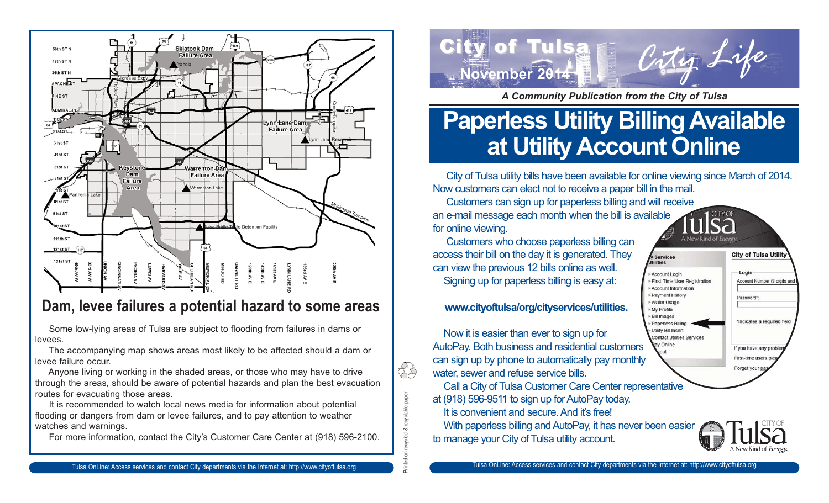

### **Dam, levee failures a potential hazard to some areas**

Some low-lying areas of Tulsa are subject to flooding from failures in dams or levees.

The accompanying map shows areas most likely to be affected should a dam or levee failure occur.

Anyone living or working in the shaded areas, or those who may have to drive through the areas, should be aware of potential hazards and plan the best evacuation routes for evacuating those areas.

It is recommended to watch local news media for information about potential flooding or dangers from dam or levee failures, and to pay attention to weather watches and warnings.

For more information, contact the City's Customer Care Center at (918) 596-2100.



*A Community Publication from the City of Tulsa*

# **Paperless Utility Billing Available at Utility Account Online**

City of Tulsa utility bills have been available for online viewing since March of 2014. Now customers can elect not to receive a paper bill in the mail.

Customers can sign up for paperless billing and will receive an e-mail message each month when the bill is available for online viewing.

Customers who choose paperless billing can access their bill on the day it is generated. They can view the previous 12 bills online as well. Signing up for paperless billing is easy at:

#### **www.cityoftulsa/org/cityservices/utilities.**

Now it is easier than ever to sign up for AutoPay. Both business and residential customers can sign up by phone to automatically pay monthly water, sewer and refuse service bills.

Printed on recycled & recyclable paper

on recycled & recyclable paper

ÊS

Call a City of Tulsa Customer Care Center representative at (918) 596-9511 to sign up for AutoPay today. It is convenient and secure. And it's free!

With paperless billing and AutoPay, it has never been easier to manage your City of Tulsa utility account.